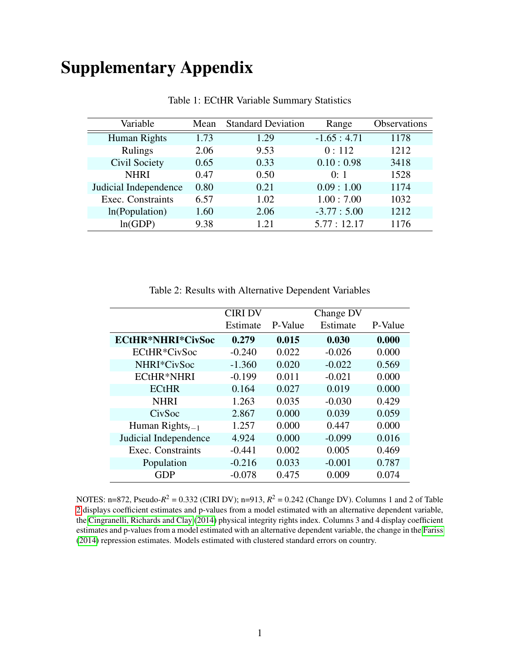# Supplementary Appendix

| Variable              | Mean | <b>Standard Deviation</b> | Range        | <b>Observations</b> |
|-----------------------|------|---------------------------|--------------|---------------------|
| Human Rights          | 1.73 | 1.29                      | $-1.65:4.71$ | 1178                |
| Rulings               | 2.06 | 9.53                      | 0:112        | 1212                |
| Civil Society         | 0.65 | 0.33                      | 0.10:0.98    | 3418                |
| <b>NHRI</b>           | 0.47 | 0.50                      | 0:1          | 1528                |
| Judicial Independence | 0.80 | 0.21                      | 0.09:1.00    | 1174                |
| Exec. Constraints     | 6.57 | 1.02                      | 1.00:7.00    | 1032                |
| In(Population)        | 1.60 | 2.06                      | $-3.77:5.00$ | 1212                |
| ln(GDP)               | 9.38 | 1.21                      | 5.77:12.17   | 1176                |

Table 1: ECtHR Variable Summary Statistics

<span id="page-0-0"></span>

| Table 2: Results with Alternative Dependent Variables |  |  |  |  |
|-------------------------------------------------------|--|--|--|--|
|-------------------------------------------------------|--|--|--|--|

|                          | <b>CIRI DV</b> |         | Change DV |         |
|--------------------------|----------------|---------|-----------|---------|
|                          | Estimate       | P-Value | Estimate  | P-Value |
| <b>ECtHR*NHRI*CivSoc</b> | 0.279          | 0.015   | 0.030     | 0.000   |
| ECtHR*CivSoc             | $-0.240$       | 0.022   | $-0.026$  | 0.000   |
| NHRI*CivSoc              | $-1.360$       | 0.020   | $-0.022$  | 0.569   |
| <b>ECtHR*NHRI</b>        | $-0.199$       | 0.011   | $-0.021$  | 0.000   |
| <b>ECtHR</b>             | 0.164          | 0.027   | 0.019     | 0.000   |
| <b>NHRI</b>              | 1.263          | 0.035   | $-0.030$  | 0.429   |
| CivSoc                   | 2.867          | 0.000   | 0.039     | 0.059   |
| Human Rights $_{t-1}$    | 1.257          | 0.000   | 0.447     | 0.000   |
| Judicial Independence    | 4.924          | 0.000   | $-0.099$  | 0.016   |
| Exec. Constraints        | $-0.441$       | 0.002   | 0.005     | 0.469   |
| Population               | $-0.216$       | 0.033   | $-0.001$  | 0.787   |
| <b>GDP</b>               | $-0.078$       | 0.475   | 0.009     | 0.074   |

NOTES: n=872, Pseudo- $R^2 = 0.332$  (CIRI DV); n=913,  $R^2 = 0.242$  (Change DV). Columns 1 and 2 of Table [2](#page-0-0) displays coefficient estimates and p-values from a model estimated with an alternative dependent variable, the [Cingranelli, Richards and Clay](#page-9-0) [\(2014\)](#page-9-0) physical integrity rights index. Columns 3 and 4 display coefficient estimates and p-values from a model estimated with an alternative dependent variable, the change in the [Fariss](#page-9-1) [\(2014\)](#page-9-1) repression estimates. Models estimated with clustered standard errors on country.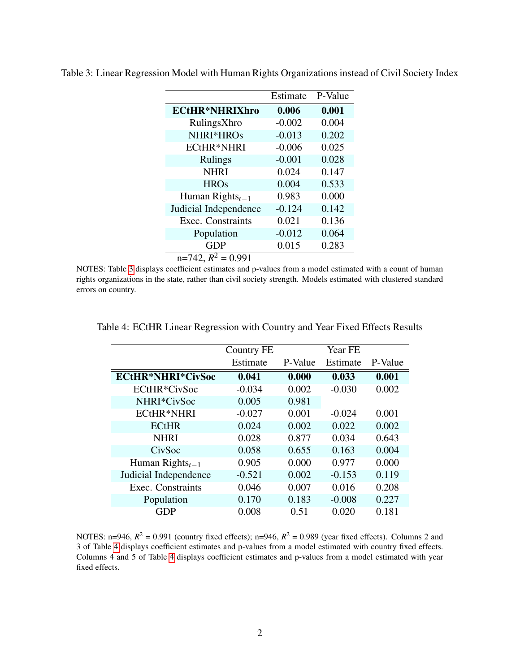|                                          | Estimate | P-Value |
|------------------------------------------|----------|---------|
| <b>ECtHR*NHRIXhro</b>                    | 0.006    | 0.001   |
| RulingsXhro                              | $-0.002$ | 0.004   |
| NHRI*HROs                                | $-0.013$ | 0.202   |
| <b>ECtHR*NHRI</b>                        | $-0.006$ | 0.025   |
| Rulings                                  | $-0.001$ | 0.028   |
| <b>NHRI</b>                              | 0.024    | 0.147   |
| <b>HROs</b>                              | 0.004    | 0.533   |
| Human Rights <sub><math>t-1</math></sub> | 0.983    | 0.000   |
| Judicial Independence                    | $-0.124$ | 0.142   |
| Exec. Constraints                        | 0.021    | 0.136   |
| Population                               | $-0.012$ | 0.064   |
| <b>GDP</b>                               | 0.015    | 0.283   |
| $n=742$ , $R^2 = 0.991$                  |          |         |

<span id="page-1-0"></span>Table 3: Linear Regression Model with Human Rights Organizations instead of Civil Society Index

NOTES: Table [3](#page-1-0) displays coefficient estimates and p-values from a model estimated with a count of human rights organizations in the state, rather than civil society strength. Models estimated with clustered standard errors on country.

<span id="page-1-1"></span>

|                                          | Country FE |         | Year FE  |         |
|------------------------------------------|------------|---------|----------|---------|
|                                          | Estimate   | P-Value | Estimate | P-Value |
| <b>ECtHR*NHRI*CivSoc</b>                 | 0.041      | 0.000   | 0.033    | 0.001   |
| ECtHR*CivSoc                             | $-0.034$   | 0.002   | $-0.030$ | 0.002   |
| NHRI*CivSoc                              | 0.005      | 0.981   |          |         |
| ECtHR*NHRI                               | $-0.027$   | 0.001   | $-0.024$ | 0.001   |
| <b>ECtHR</b>                             | 0.024      | 0.002   | 0.022    | 0.002   |
| <b>NHRI</b>                              | 0.028      | 0.877   | 0.034    | 0.643   |
| CivSoc                                   | 0.058      | 0.655   | 0.163    | 0.004   |
| Human Rights <sub><math>t-1</math></sub> | 0.905      | 0.000   | 0.977    | 0.000   |
| Judicial Independence                    | $-0.521$   | 0.002   | $-0.153$ | 0.119   |
| Exec. Constraints                        | 0.046      | 0.007   | 0.016    | 0.208   |
| Population                               | 0.170      | 0.183   | $-0.008$ | 0.227   |
| GDP                                      | 0.008      | 0.51    | 0.020    | 0.181   |

Table 4: ECtHR Linear Regression with Country and Year Fixed Effects Results

NOTES: n=946,  $R^2 = 0.991$  (country fixed effects); n=946,  $R^2 = 0.989$  (year fixed effects). Columns 2 and 3 of Table [4](#page-1-1) displays coefficient estimates and p-values from a model estimated with country fixed effects. Columns 4 and 5 of Table [4](#page-1-1) displays coefficient estimates and p-values from a model estimated with year fixed effects.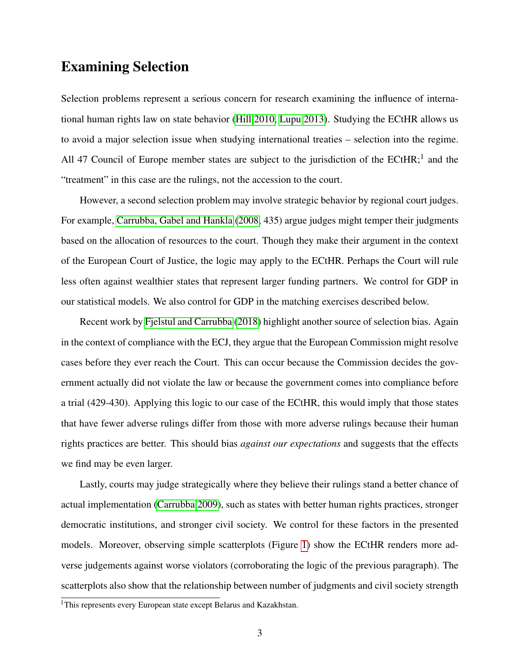### Examining Selection

Selection problems represent a serious concern for research examining the influence of international human rights law on state behavior [\(Hill 2010,](#page-9-2) [Lupu 2013\)](#page-9-3). Studying the ECtHR allows us to avoid a major selection issue when studying international treaties – selection into the regime. All 47 Council of Europe member states are subject to the jurisdiction of the ECtHR;<sup>1</sup> and the "treatment" in this case are the rulings, not the accession to the court.

However, a second selection problem may involve strategic behavior by regional court judges. For example, [Carrubba, Gabel and Hankla](#page-9-4) [\(2008,](#page-9-4) 435) argue judges might temper their judgments based on the allocation of resources to the court. Though they make their argument in the context of the European Court of Justice, the logic may apply to the ECtHR. Perhaps the Court will rule less often against wealthier states that represent larger funding partners. We control for GDP in our statistical models. We also control for GDP in the matching exercises described below.

Recent work by [Fjelstul and Carrubba](#page-9-5) [\(2018\)](#page-9-5) highlight another source of selection bias. Again in the context of compliance with the ECJ, they argue that the European Commission might resolve cases before they ever reach the Court. This can occur because the Commission decides the government actually did not violate the law or because the government comes into compliance before a trial (429-430). Applying this logic to our case of the ECtHR, this would imply that those states that have fewer adverse rulings differ from those with more adverse rulings because their human rights practices are better. This should bias *against our expectations* and suggests that the effects we find may be even larger.

Lastly, courts may judge strategically where they believe their rulings stand a better chance of actual implementation [\(Carrubba 2009\)](#page-9-6), such as states with better human rights practices, stronger democratic institutions, and stronger civil society. We control for these factors in the presented models. Moreover, observing simple scatterplots (Figure [1\)](#page-5-0) show the ECtHR renders more adverse judgements against worse violators (corroborating the logic of the previous paragraph). The scatterplots also show that the relationship between number of judgments and civil society strength

<sup>&</sup>lt;sup>1</sup>This represents every European state except Belarus and Kazakhstan.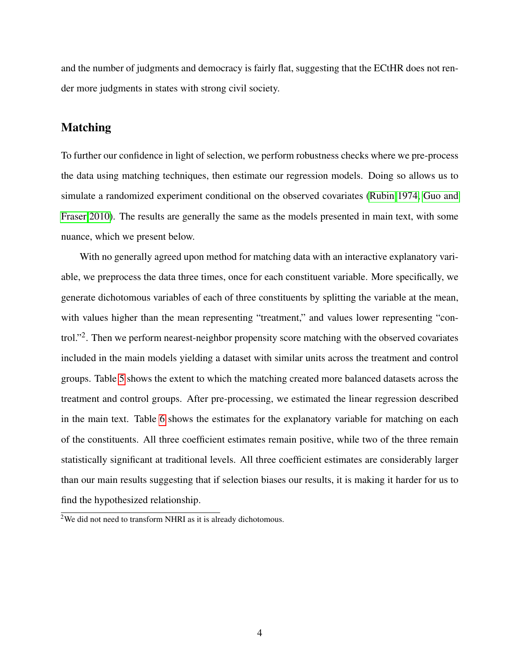and the number of judgments and democracy is fairly flat, suggesting that the ECtHR does not render more judgments in states with strong civil society.

#### Matching

To further our confidence in light of selection, we perform robustness checks where we pre-process the data using matching techniques, then estimate our regression models. Doing so allows us to simulate a randomized experiment conditional on the observed covariates [\(Rubin 1974,](#page-9-7) [Guo and](#page-9-8) [Fraser 2010\)](#page-9-8). The results are generally the same as the models presented in main text, with some nuance, which we present below.

With no generally agreed upon method for matching data with an interactive explanatory variable, we preprocess the data three times, once for each constituent variable. More specifically, we generate dichotomous variables of each of three constituents by splitting the variable at the mean, with values higher than the mean representing "treatment," and values lower representing "control."<sup>2</sup>. Then we perform nearest-neighbor propensity score matching with the observed covariates included in the main models yielding a dataset with similar units across the treatment and control groups. Table [5](#page-4-0) shows the extent to which the matching created more balanced datasets across the treatment and control groups. After pre-processing, we estimated the linear regression described in the main text. Table [6](#page-4-1) shows the estimates for the explanatory variable for matching on each of the constituents. All three coefficient estimates remain positive, while two of the three remain statistically significant at traditional levels. All three coefficient estimates are considerably larger than our main results suggesting that if selection biases our results, it is making it harder for us to find the hypothesized relationship.

 $2$ We did not need to transform NHRI as it is already dichotomous.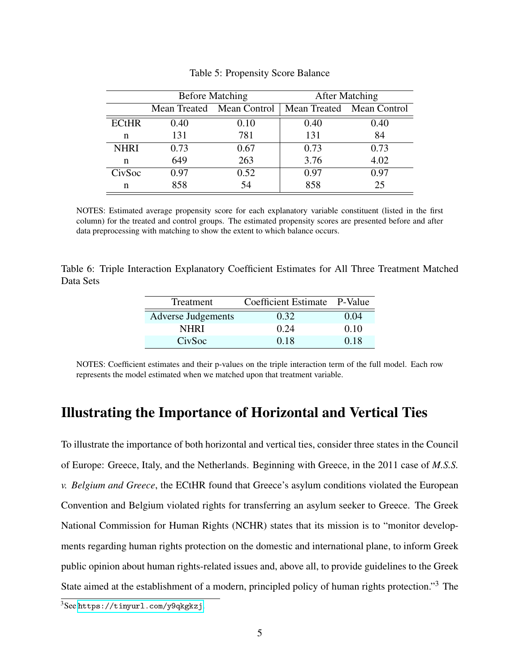|              | <b>Before Matching</b> |                           | <b>After Matching</b>     |      |
|--------------|------------------------|---------------------------|---------------------------|------|
|              |                        | Mean Treated Mean Control | Mean Treated Mean Control |      |
| <b>ECtHR</b> | 0.40                   | 0.10                      | 0.40                      | 0.40 |
| n            | 131                    | 781                       | 131                       | 84   |
| <b>NHRI</b>  | 0.73                   | 0.67                      | 0.73                      | 0.73 |
| n            | 649                    | 263                       | 3.76                      | 4.02 |
| CivSoc       | 0.97                   | 0.52                      | 0.97                      | 0.97 |
| n            | 858                    | 54                        | 858                       | 25   |

<span id="page-4-0"></span>Table 5: Propensity Score Balance

NOTES: Estimated average propensity score for each explanatory variable constituent (listed in the first column) for the treated and control groups. The estimated propensity scores are presented before and after data preprocessing with matching to show the extent to which balance occurs.

<span id="page-4-1"></span>Table 6: Triple Interaction Explanatory Coefficient Estimates for All Three Treatment Matched Data Sets

| Treatment                 | Coefficient Estimate P-Value |      |
|---------------------------|------------------------------|------|
| <b>Adverse Judgements</b> | 0.32                         | 0.04 |
| <b>NHRI</b>               | 0.24                         | 0.10 |
| CivSoc                    | 0.18                         | 0.18 |

NOTES: Coefficient estimates and their p-values on the triple interaction term of the full model. Each row represents the model estimated when we matched upon that treatment variable.

## Illustrating the Importance of Horizontal and Vertical Ties

To illustrate the importance of both horizontal and vertical ties, consider three states in the Council of Europe: Greece, Italy, and the Netherlands. Beginning with Greece, in the 2011 case of *M.S.S. v. Belgium and Greece*, the ECtHR found that Greece's asylum conditions violated the European Convention and Belgium violated rights for transferring an asylum seeker to Greece. The Greek National Commission for Human Rights (NCHR) states that its mission is to "monitor developments regarding human rights protection on the domestic and international plane, to inform Greek public opinion about human rights-related issues and, above all, to provide guidelines to the Greek State aimed at the establishment of a modern, principled policy of human rights protection."<sup>3</sup> The

 $3$ See <https://tinyurl.com/y9qkgkzj>.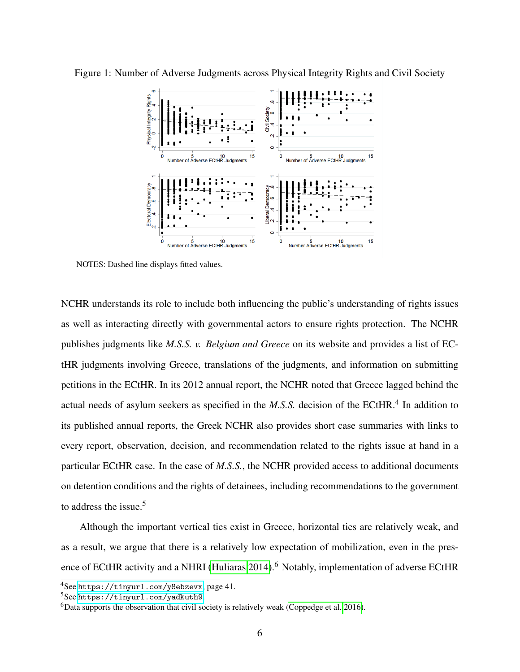<span id="page-5-0"></span>

Figure 1: Number of Adverse Judgments across Physical Integrity Rights and Civil Society

NOTES: Dashed line displays fitted values.

NCHR understands its role to include both influencing the public's understanding of rights issues as well as interacting directly with governmental actors to ensure rights protection. The NCHR publishes judgments like *M.S.S. v. Belgium and Greece* on its website and provides a list of ECtHR judgments involving Greece, translations of the judgments, and information on submitting petitions in the ECtHR. In its 2012 annual report, the NCHR noted that Greece lagged behind the actual needs of asylum seekers as specified in the *M.S.S.* decision of the ECtHR.<sup>4</sup> In addition to its published annual reports, the Greek NCHR also provides short case summaries with links to every report, observation, decision, and recommendation related to the rights issue at hand in a particular ECtHR case. In the case of *M.S.S.*, the NCHR provided access to additional documents on detention conditions and the rights of detainees, including recommendations to the government to address the issue.<sup>5</sup>

Although the important vertical ties exist in Greece, horizontal ties are relatively weak, and as a result, we argue that there is a relatively low expectation of mobilization, even in the pres-ence of ECtHR activity and a NHRI [\(Huliaras 2014\)](#page-9-9).<sup>6</sup> Notably, implementation of adverse ECtHR

<sup>4</sup>See <https://tinyurl.com/y8ebzevx>, page 41.

<sup>5</sup>See <https://tinyurl.com/yadkuth9>.

 ${}^{6}$ Data supports the observation that civil society is relatively weak [\(Coppedge et al. 2016\)](#page-9-10).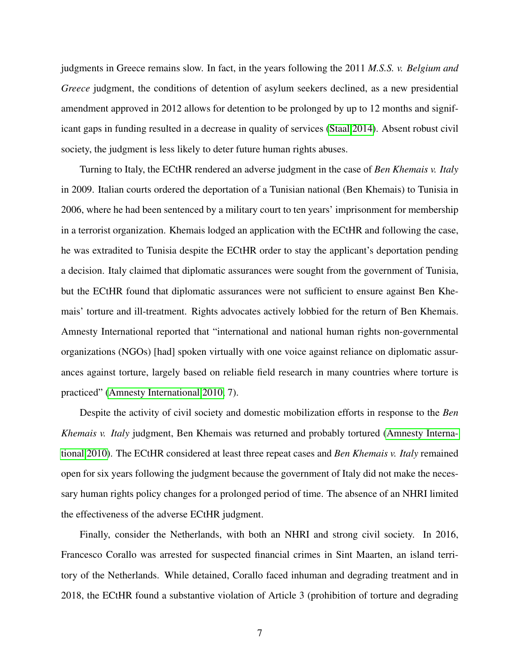judgments in Greece remains slow. In fact, in the years following the 2011 *M.S.S. v. Belgium and Greece* judgment, the conditions of detention of asylum seekers declined, as a new presidential amendment approved in 2012 allows for detention to be prolonged by up to 12 months and significant gaps in funding resulted in a decrease in quality of services [\(Staal 2014\)](#page-9-11). Absent robust civil society, the judgment is less likely to deter future human rights abuses.

Turning to Italy, the ECtHR rendered an adverse judgment in the case of *Ben Khemais v. Italy* in 2009. Italian courts ordered the deportation of a Tunisian national (Ben Khemais) to Tunisia in 2006, where he had been sentenced by a military court to ten years' imprisonment for membership in a terrorist organization. Khemais lodged an application with the ECtHR and following the case, he was extradited to Tunisia despite the ECtHR order to stay the applicant's deportation pending a decision. Italy claimed that diplomatic assurances were sought from the government of Tunisia, but the ECtHR found that diplomatic assurances were not sufficient to ensure against Ben Khemais' torture and ill-treatment. Rights advocates actively lobbied for the return of Ben Khemais. Amnesty International reported that "international and national human rights non-governmental organizations (NGOs) [had] spoken virtually with one voice against reliance on diplomatic assurances against torture, largely based on reliable field research in many countries where torture is practiced" [\(Amnesty International 2010,](#page-9-12) 7).

Despite the activity of civil society and domestic mobilization efforts in response to the *Ben Khemais v. Italy* judgment, Ben Khemais was returned and probably tortured [\(Amnesty Interna](#page-9-12)[tional 2010\)](#page-9-12). The ECtHR considered at least three repeat cases and *Ben Khemais v. Italy* remained open for six years following the judgment because the government of Italy did not make the necessary human rights policy changes for a prolonged period of time. The absence of an NHRI limited the effectiveness of the adverse ECtHR judgment.

Finally, consider the Netherlands, with both an NHRI and strong civil society. In 2016, Francesco Corallo was arrested for suspected financial crimes in Sint Maarten, an island territory of the Netherlands. While detained, Corallo faced inhuman and degrading treatment and in 2018, the ECtHR found a substantive violation of Article 3 (prohibition of torture and degrading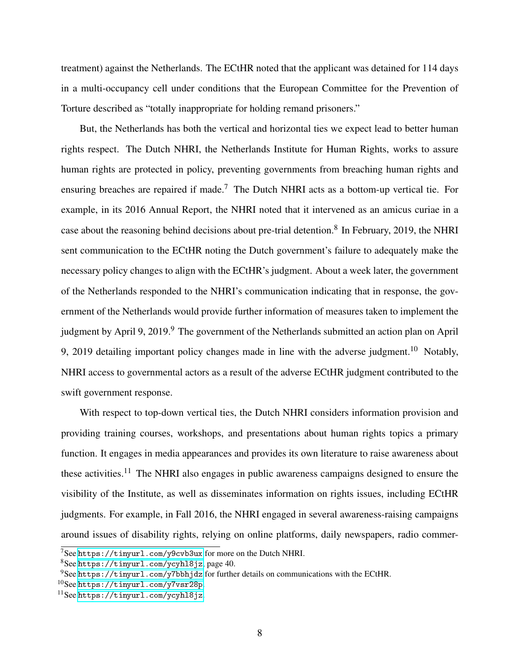treatment) against the Netherlands. The ECtHR noted that the applicant was detained for 114 days in a multi-occupancy cell under conditions that the European Committee for the Prevention of Torture described as "totally inappropriate for holding remand prisoners."

But, the Netherlands has both the vertical and horizontal ties we expect lead to better human rights respect. The Dutch NHRI, the Netherlands Institute for Human Rights, works to assure human rights are protected in policy, preventing governments from breaching human rights and ensuring breaches are repaired if made.<sup>7</sup> The Dutch NHRI acts as a bottom-up vertical tie. For example, in its 2016 Annual Report, the NHRI noted that it intervened as an amicus curiae in a case about the reasoning behind decisions about pre-trial detention.<sup>8</sup> In February, 2019, the NHRI sent communication to the ECtHR noting the Dutch government's failure to adequately make the necessary policy changes to align with the ECtHR's judgment. About a week later, the government of the Netherlands responded to the NHRI's communication indicating that in response, the government of the Netherlands would provide further information of measures taken to implement the judgment by April 9, 2019.<sup>9</sup> The government of the Netherlands submitted an action plan on April 9, 2019 detailing important policy changes made in line with the adverse judgment.<sup>10</sup> Notably, NHRI access to governmental actors as a result of the adverse ECtHR judgment contributed to the swift government response.

With respect to top-down vertical ties, the Dutch NHRI considers information provision and providing training courses, workshops, and presentations about human rights topics a primary function. It engages in media appearances and provides its own literature to raise awareness about these activities.<sup>11</sup> The NHRI also engages in public awareness campaigns designed to ensure the visibility of the Institute, as well as disseminates information on rights issues, including ECtHR judgments. For example, in Fall 2016, the NHRI engaged in several awareness-raising campaigns around issues of disability rights, relying on online platforms, daily newspapers, radio commer-

 $7$ See <https://tinyurl.com/y9cvb3ux> for more on the Dutch NHRI.

<sup>8</sup>See <https://tinyurl.com/ycyhl8jz>, page 40.

<sup>9</sup>See <https://tinyurl.com/y7bbhjdz> for further details on communications with the ECtHR.

<sup>10</sup>See <https://tinyurl.com/y7vsr28p>.

<sup>11</sup>See <https://tinyurl.com/ycyhl8jz>.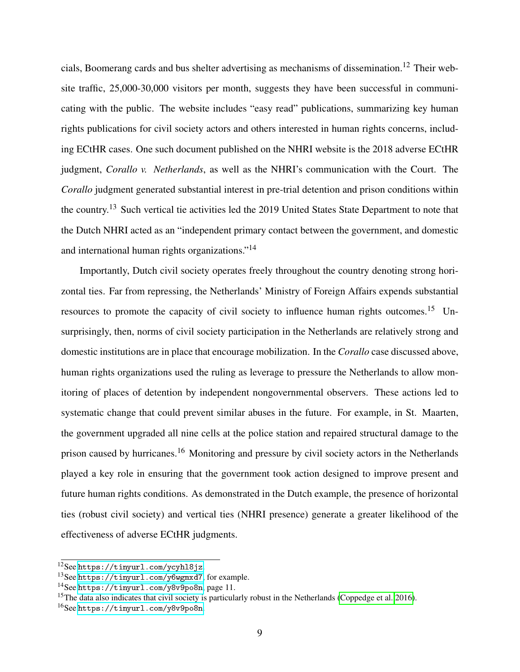cials, Boomerang cards and bus shelter advertising as mechanisms of dissemination.<sup>12</sup> Their website traffic, 25,000-30,000 visitors per month, suggests they have been successful in communicating with the public. The website includes "easy read" publications, summarizing key human rights publications for civil society actors and others interested in human rights concerns, including ECtHR cases. One such document published on the NHRI website is the 2018 adverse ECtHR judgment, *Corallo v. Netherlands*, as well as the NHRI's communication with the Court. The *Corallo* judgment generated substantial interest in pre-trial detention and prison conditions within the country.<sup>13</sup> Such vertical tie activities led the 2019 United States State Department to note that the Dutch NHRI acted as an "independent primary contact between the government, and domestic and international human rights organizations."<sup>14</sup>

Importantly, Dutch civil society operates freely throughout the country denoting strong horizontal ties. Far from repressing, the Netherlands' Ministry of Foreign Affairs expends substantial resources to promote the capacity of civil society to influence human rights outcomes.<sup>15</sup> Unsurprisingly, then, norms of civil society participation in the Netherlands are relatively strong and domestic institutions are in place that encourage mobilization. In the *Corallo* case discussed above, human rights organizations used the ruling as leverage to pressure the Netherlands to allow monitoring of places of detention by independent nongovernmental observers. These actions led to systematic change that could prevent similar abuses in the future. For example, in St. Maarten, the government upgraded all nine cells at the police station and repaired structural damage to the prison caused by hurricanes.<sup>16</sup> Monitoring and pressure by civil society actors in the Netherlands played a key role in ensuring that the government took action designed to improve present and future human rights conditions. As demonstrated in the Dutch example, the presence of horizontal ties (robust civil society) and vertical ties (NHRI presence) generate a greater likelihood of the effectiveness of adverse ECtHR judgments.

<sup>12</sup>See <https://tinyurl.com/ycyhl8jz>.

<sup>13</sup>See <https://tinyurl.com/y6wgmxd7>, for example.

<sup>14</sup>See <https://tinyurl.com/y8v9po8n>, page 11.

<sup>&</sup>lt;sup>15</sup>The data also indicates that civil society is particularly robust in the Netherlands [\(Coppedge et al. 2016\)](#page-9-10).

<sup>16</sup>See <https://tinyurl.com/y8v9po8n>.